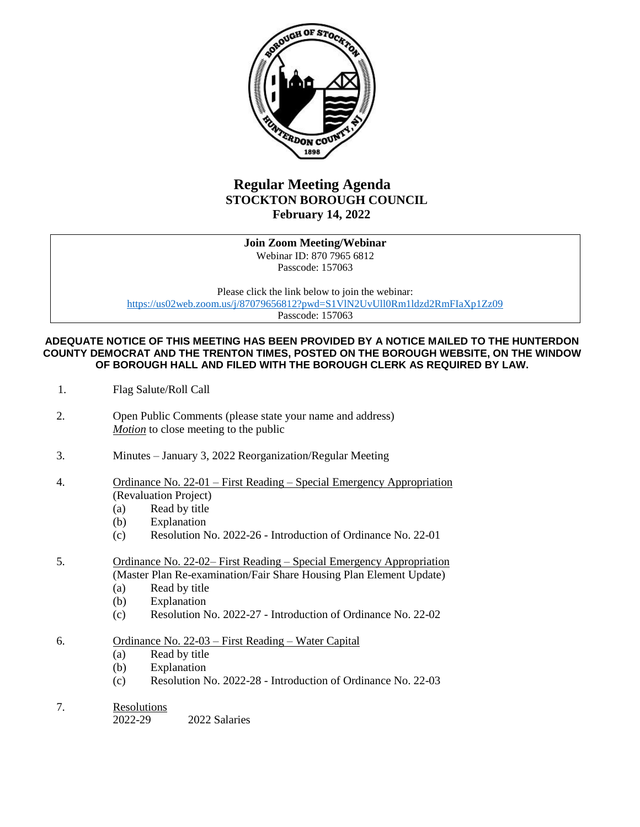

## **Regular Meeting Agenda STOCKTON BOROUGH COUNCIL February 14, 2022**

**Join Zoom Meeting/Webinar** Webinar ID: 870 7965 6812 Passcode: 157063

Please click the link below to join the webinar: <https://us02web.zoom.us/j/87079656812?pwd=S1VlN2UvUll0Rm1ldzd2RmFIaXp1Zz09> Passcode: 157063

**ADEQUATE NOTICE OF THIS MEETING HAS BEEN PROVIDED BY A NOTICE MAILED TO THE HUNTERDON COUNTY DEMOCRAT AND THE TRENTON TIMES, POSTED ON THE BOROUGH WEBSITE, ON THE WINDOW OF BOROUGH HALL AND FILED WITH THE BOROUGH CLERK AS REQUIRED BY LAW.**

- 1. Flag Salute/Roll Call
- 2. Open Public Comments (please state your name and address) *Motion* to close meeting to the public
- 3. Minutes January 3, 2022 Reorganization/Regular Meeting
- 4. Ordinance No. 22-01 First Reading Special Emergency Appropriation (Revaluation Project)
	- (a) Read by title
	- (b) Explanation
	- (c) Resolution No. 2022-26 Introduction of Ordinance No. 22-01
- 5. Ordinance No. 22-02– First Reading Special Emergency Appropriation (Master Plan Re-examination/Fair Share Housing Plan Element Update)
	- (a) Read by title
	- (b) Explanation
	- (c) Resolution No. 2022-27 Introduction of Ordinance No. 22-02
- 6. Ordinance No. 22-03 First Reading Water Capital
	- (a) Read by title
	- (b) Explanation
	- (c) Resolution No. 2022-28 Introduction of Ordinance No. 22-03
- 7. Resolutions

2022-29 2022 Salaries